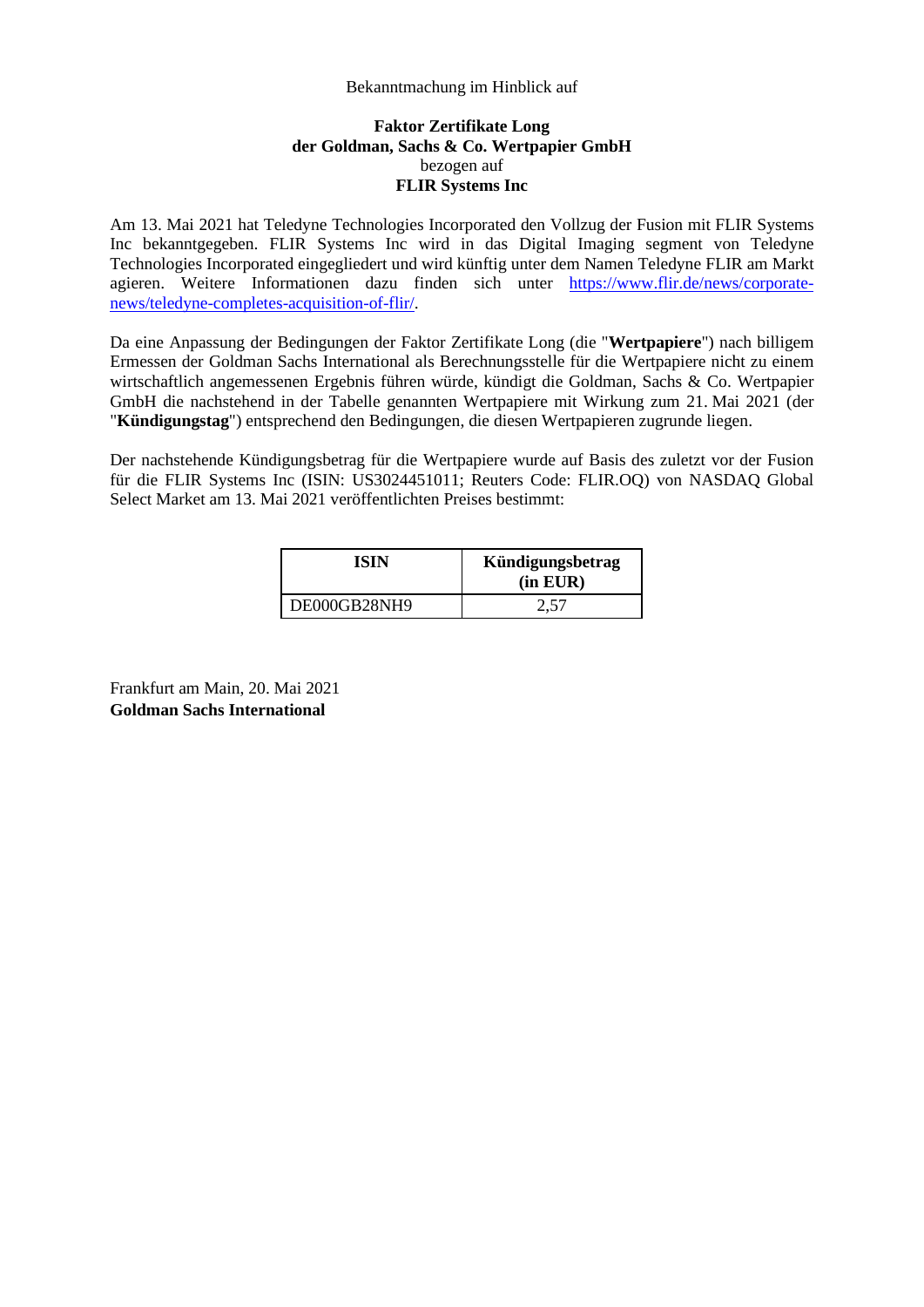## Bekanntmachung im Hinblick auf

## **Faktor Zertifikate Long der Goldman, Sachs & Co. Wertpapier GmbH**  bezogen auf **FLIR Systems Inc**

Am 13. Mai 2021 hat Teledyne Technologies Incorporated den Vollzug der Fusion mit FLIR Systems Inc bekanntgegeben. FLIR Systems Inc wird in das Digital Imaging segment von Teledyne Technologies Incorporated eingegliedert und wird künftig unter dem Namen Teledyne FLIR am Markt agieren. Weitere Informationen dazu finden sich unter [https://www.flir.de/news/corporate](https://www.flir.de/news/corporate-news/teledyne-completes-acquisition-of-flir/)[news/teledyne-completes-acquisition-of-flir/.](https://www.flir.de/news/corporate-news/teledyne-completes-acquisition-of-flir/) 

Da eine Anpassung der Bedingungen der Faktor Zertifikate Long (die "**Wertpapiere**") nach billigem Ermessen der Goldman Sachs International als Berechnungsstelle für die Wertpapiere nicht zu einem wirtschaftlich angemessenen Ergebnis führen würde, kündigt die Goldman, Sachs & Co. Wertpapier GmbH die nachstehend in der Tabelle genannten Wertpapiere mit Wirkung zum 21. Mai 2021 (der "**Kündigungstag**") entsprechend den Bedingungen, die diesen Wertpapieren zugrunde liegen.

Der nachstehende Kündigungsbetrag für die Wertpapiere wurde auf Basis des zuletzt vor der Fusion für die FLIR Systems Inc (ISIN: US3024451011; Reuters Code: FLIR.OQ) von NASDAQ Global Select Market am 13. Mai 2021 veröffentlichten Preises bestimmt:

| ISIN         | Kündigungsbetrag<br>(in EUR) |
|--------------|------------------------------|
| DE000GB28NH9 | 2,57                         |

Frankfurt am Main, 20. Mai 2021 **Goldman Sachs International**